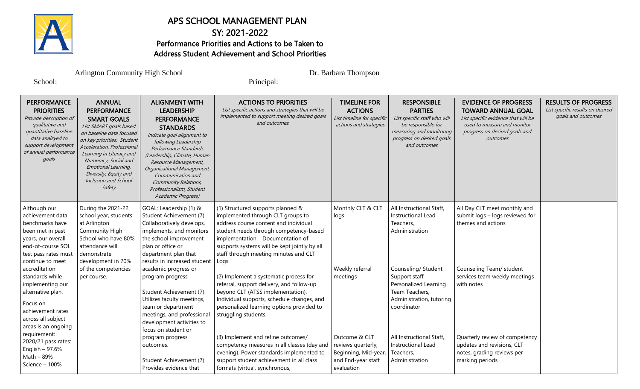

# APS SCHOOL MANAGEMENT PLAN

# SY: 2021-2022 Performance Priorities and Actions to be Taken to Address Student Achievement and School Priorities

Principal:

| <b>Arlington Community High School</b> |  |  |  |
|----------------------------------------|--|--|--|
|                                        |  |  |  |
|                                        |  |  |  |

Dr. Barbara Thompson

School:

**PERFORMANCE PRIORITIES** Provide description of qualitative and quantitative baseline data analzyed to support development of annual performance goals ANNUAL PERFORMANCE SMART GOALS List SMART goals based on baseline data focused on key priorities: Student Acceleration, Professional Learning in Literacy and Numeracy, Social and Emotional Learning, Diversity, Equity and Inclusion and School Safety ALIGNMENT WITH LEADERSHIP **PERFORMANCE STANDARDS** Indicate goal alignment to following Leadership Performance Standards (Leadership, Climate, Human Resource Management, Organizational Management, Communication and Community Relations, Professionalism, Student Academic Progress) ACTIONS TO PRIORITIES List specific actions and strategies that will be implemented to support meeting desired goals and outcomes. TIMELINE FOR ACTIONS List timeline for specific actions and strategies RESPONSIBLE PARTIES List specific staff who will be responsible for measuring and monitoring progress on desired goals and outcomes EVIDENCE OF PROGRESS TOWARD ANNUAL GOAL List specific evidence that will be used to measure and monitor progress on desired goals and outcomes RESULTS OF PROGRESS List specific results on desired goals and outcomes Although our achievement data benchmarks have been met in past years, our overall end-of-course SOL test pass rates must continue to meet accreditation standards while implementing our alternative plan. Focus on achievement rates across all subject areas is an ongoing requirement: 2020/21 pass rates: English – 97.6% Math – 89% Science – 100% During the 2021-22 school year, students at Arlington Community High School who have 80% attendance will demonstrate development in 70% of the competencies per course. GOAL: Leadership (1) & Student Achievement (7): Collaboratively develops, implements, and monitors the school improvement plan or office or department plan that results in increased student academic progress or program progress Student Achievement (7): Utilizes faculty meetings, team or department meetings, and professional development activities to focus on student or program progress outcomes. Student Achievement (7): Provides evidence that (1) Structured supports planned & implemented through CLT groups to address course content and individual student needs through competency-based implementation. Documentation of supports systems will be kept jointly by all staff through meeting minutes and CLT Logs. (2) Implement a systematic process for referral, support delivery, and follow-up beyond CLT (ATSS implementation). Individual supports, schedule changes, and personalized learning options provided to struggling students. (3) Implement and refine outcomes/ competency measures in all classes (day and evening). Power standards implemented to support student achievement in all class formats (virtual, synchronous, Monthly CLT & CLT logs Weekly referral meetings Outcome & CLT reviews quarterly; Beginning, Mid-year, and End-year staff evaluation All Instructional Staff, Instructional Lead Teachers, Administration Counseling/ Student Support staff, Personalized Learning Team Teachers, Administration, tutoring coordinator All Instructional Staff, Instructional Lead Teachers, Administration All Day CLT meet monthly and submit logs – logs reviewed for themes and actions Counseling Team/ student services team weekly meetings with notes Quarterly review of competency updates and revisions, CLT notes, grading reviews per marking periods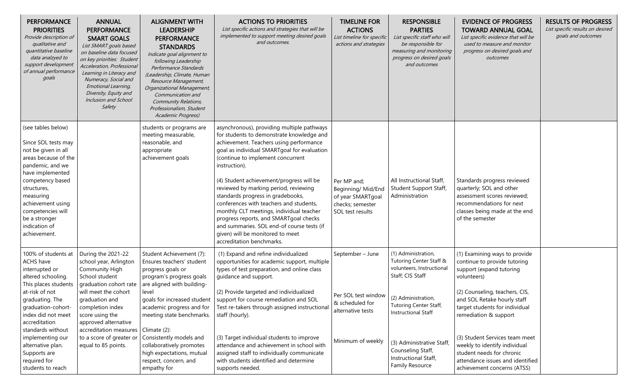| <b>PERFORMANCE</b><br><b>PRIORITIES</b><br>Provide description of<br>qualitative and<br>quantitative baseline<br>data analzyed to<br>support development<br>of annual performance<br>goals                                                                                   | <b>ANNUAL</b><br><b>PERFORMANCE</b><br><b>SMART GOALS</b><br>List SMART goals based<br>on baseline data focused<br>on key priorities: Student<br>Acceleration, Professional<br>Learning in Literacy and<br>Numeracy, Social and<br>Emotional Learning,<br>Diversity, Equity and<br>Inclusion and School<br>Safety | <b>ALIGNMENT WITH</b><br><b>LEADERSHIP</b><br><b>PERFORMANCE</b><br><b>STANDARDS</b><br>Indicate goal alignment to<br>following Leadership<br>Performance Standards<br>(Leadership, Climate, Human<br>Resource Management,<br>Organizational Management,<br>Communication and<br><b>Community Relations,</b><br>Professionalism, Student<br>Academic Progress) | <b>ACTIONS TO PRIORITIES</b><br>List specific actions and strategies that will be<br>implemented to support meeting desired goals<br>and outcomes.                                                                                                                                                                                                                                                                                                                                                                                                                                                                | <b>TIMELINE FOR</b><br><b>ACTIONS</b><br>List timeline for specific<br>actions and strategies          | <b>RESPONSIBLE</b><br><b>PARTIES</b><br>List specific staff who will<br>be responsible for<br>measuring and monitoring<br>progress on desired goals<br>and outcomes | <b>EVIDENCE OF PROGRESS</b><br><b>TOWARD ANNUAL GOAL</b><br>List specific evidence that will be<br>used to measure and monitor<br>progress on desired goals and<br>outcomes                                                                                            | <b>RESULTS OF PROGRESS</b><br>List specific results on desired<br>goals and outcomes |
|------------------------------------------------------------------------------------------------------------------------------------------------------------------------------------------------------------------------------------------------------------------------------|-------------------------------------------------------------------------------------------------------------------------------------------------------------------------------------------------------------------------------------------------------------------------------------------------------------------|----------------------------------------------------------------------------------------------------------------------------------------------------------------------------------------------------------------------------------------------------------------------------------------------------------------------------------------------------------------|-------------------------------------------------------------------------------------------------------------------------------------------------------------------------------------------------------------------------------------------------------------------------------------------------------------------------------------------------------------------------------------------------------------------------------------------------------------------------------------------------------------------------------------------------------------------------------------------------------------------|--------------------------------------------------------------------------------------------------------|---------------------------------------------------------------------------------------------------------------------------------------------------------------------|------------------------------------------------------------------------------------------------------------------------------------------------------------------------------------------------------------------------------------------------------------------------|--------------------------------------------------------------------------------------|
| (see tables below)<br>Since SOL tests may<br>not be given in all<br>areas because of the<br>pandemic, and we<br>have implemented<br>competency based<br>structures,<br>measuring<br>achievement using<br>competencies will<br>be a stronger<br>indication of<br>achievement. |                                                                                                                                                                                                                                                                                                                   | students or programs are<br>meeting measurable,<br>reasonable, and<br>appropriate<br>achievement goals                                                                                                                                                                                                                                                         | asynchronous), providing multiple pathways<br>for students to demonstrate knowledge and<br>achievement. Teachers using performance<br>goal as individual SMARTgoal for evaluation<br>(continue to implement concurrent<br>instruction).<br>(4) Student achievement/progress will be<br>reviewed by marking period, reviewing<br>standards progress in gradebooks,<br>conferences with teachers and students,<br>monthly CLT meetings, individual teacher<br>progress reports, and SMARTgoal checks<br>and summaries. SOL end-of course tests (if<br>given) will be monitored to meet<br>accreditation benchmarks. | Per MP and;<br>Beginning/ Mid/End<br>of year SMARTgoal<br>checks; semester<br>SOL test results         | All Instructional Staff,<br>Student Support Staff,<br>Administration                                                                                                | Standards progress reviewed<br>quarterly; SOL and other<br>assessment scores reviewed;<br>recommendations for next<br>classes being made at the end<br>of the semester                                                                                                 |                                                                                      |
| 100% of students at<br>ACHS have<br>interrupted or<br>altered schooling.<br>This places students<br>at-risk of not<br>graduating. The<br>graduation-cohort-<br>index did not meet<br>accreditation<br>standards without<br>implementing our                                  | During the 2021-22<br>school year, Arlington<br>Community High<br>School student<br>graduation cohort rate<br>will meet the cohort<br>graduation and<br>completion index<br>score using the<br>approved alternative<br>accreditation measures   Climate (2):<br>to a score of greater or                          | Student Achievement (7):<br>Ensures teachers' student<br>progress goals or<br>program's progress goals<br>are aligned with building-<br>level<br>goals for increased student<br>academic progress and for<br>meeting state benchmarks.<br>Consistently models and                                                                                              | (1) Expand and refine individualized<br>opportunities for academic support, multiple<br>types of test preparation, and online class<br>guidance and support.<br>(2) Provide targeted and individualized<br>support for course remediation and SOL<br>Test re-takers through assigned instructional<br>staff (hourly).<br>(3) Target individual students to improve                                                                                                                                                                                                                                                | September - June<br>Per SOL test window $ (2)$ Administration,<br>& scheduled for<br>alternative tests | (1) Administration,<br>Tutoring Center Staff &<br>volunteers, Instructional<br>Staff; CIS Staff<br>Tutoring Center Staff,<br><b>Instructional Staff</b>             | (1) Examining ways to provide<br>continue to provide tutoring<br>support (expand tutoring<br>volunteers)<br>(2) Counseling, teachers, CIS,<br>and SOL Retake hourly staff<br>target students for individual<br>remediation & support<br>(3) Student Services team meet |                                                                                      |
| alternative plan.<br>Supports are<br>required for<br>students to reach                                                                                                                                                                                                       | equal to 85 points.                                                                                                                                                                                                                                                                                               | collaboratively promotes<br>high expectations, mutual<br>respect, concern, and<br>empathy for                                                                                                                                                                                                                                                                  | attendance and achievement in school with<br>assigned staff to individually communicate<br>with students identified and determine<br>supports needed.                                                                                                                                                                                                                                                                                                                                                                                                                                                             | Minimum of weekly                                                                                      | (3) Administrative Staff,<br>Counseling Staff,<br>Instructional Staff,<br>Family Resource                                                                           | weekly to identify individual<br>student needs for chronic<br>attendance issues and identified<br>achievement concerns (ATSS)                                                                                                                                          |                                                                                      |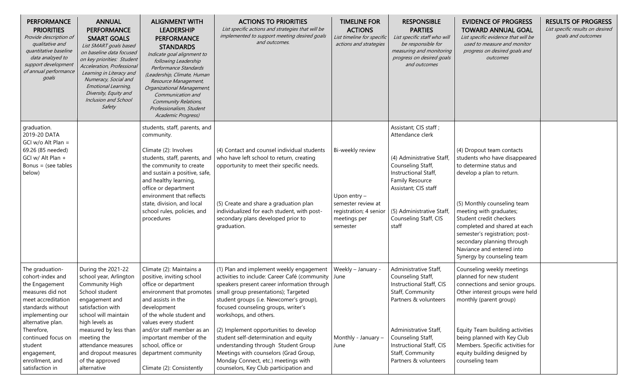| <b>PERFORMANCE</b><br><b>PRIORITIES</b><br>Provide description of<br>qualitative and<br>quantitative baseline<br>data analzyed to<br>support development<br>of annual performance<br>goals                                                                        | <b>ANNUAL</b><br><b>PERFORMANCE</b><br><b>SMART GOALS</b><br>List SMART goals based<br>on baseline data focused<br>on key priorities: Student<br>Acceleration, Professional<br>Learning in Literacy and<br>Numeracy, Social and<br>Emotional Learning,<br>Diversity, Equity and<br>Inclusion and School<br>Safety | <b>ALIGNMENT WITH</b><br><b>LEADERSHIP</b><br><b>PERFORMANCE</b><br><b>STANDARDS</b><br>Indicate goal alignment to<br>following Leadership<br>Performance Standards<br>(Leadership, Climate, Human<br>Resource Management,<br>Organizational Management,<br>Communication and<br>Community Relations,<br>Professionalism, Student<br>Academic Progress) | <b>ACTIONS TO PRIORITIES</b><br>List specific actions and strategies that will be<br>implemented to support meeting desired goals<br>and outcomes.                                                                                                                                                                                                                                                                                                                                                                                               | <b>TIMELINE FOR</b><br><b>ACTIONS</b><br>List timeline for specific<br>actions and strategies                | <b>RESPONSIBLE</b><br><b>PARTIES</b><br>List specific staff who will<br>be responsible for<br>measuring and monitoring<br>progress on desired goals<br>and outcomes                                                                        | <b>EVIDENCE OF PROGRESS</b><br><b>TOWARD ANNUAL GOAL</b><br>List specific evidence that will be<br>used to measure and monitor<br>progress on desired goals and<br>outcomes                                                                                                                                                                                        | <b>RESULTS OF PROGRESS</b><br>List specific results on desired<br>goals and outcomes |
|-------------------------------------------------------------------------------------------------------------------------------------------------------------------------------------------------------------------------------------------------------------------|-------------------------------------------------------------------------------------------------------------------------------------------------------------------------------------------------------------------------------------------------------------------------------------------------------------------|---------------------------------------------------------------------------------------------------------------------------------------------------------------------------------------------------------------------------------------------------------------------------------------------------------------------------------------------------------|--------------------------------------------------------------------------------------------------------------------------------------------------------------------------------------------------------------------------------------------------------------------------------------------------------------------------------------------------------------------------------------------------------------------------------------------------------------------------------------------------------------------------------------------------|--------------------------------------------------------------------------------------------------------------|--------------------------------------------------------------------------------------------------------------------------------------------------------------------------------------------------------------------------------------------|--------------------------------------------------------------------------------------------------------------------------------------------------------------------------------------------------------------------------------------------------------------------------------------------------------------------------------------------------------------------|--------------------------------------------------------------------------------------|
| graduation.<br>2019-20 DATA<br>GCI w/o Alt Plan =<br>69.26 (85 needed)<br>GCI w/ Alt Plan +<br>Bonus = (see tables<br>below)                                                                                                                                      |                                                                                                                                                                                                                                                                                                                   | students, staff, parents, and<br>community.<br>Climate (2): Involves<br>students, staff, parents, and<br>the community to create<br>and sustain a positive, safe,<br>and healthy learning,<br>office or department<br>environment that reflects<br>state, division, and local<br>school rules, policies, and<br>procedures                              | (4) Contact and counsel individual students<br>who have left school to return, creating<br>opportunity to meet their specific needs.<br>(5) Create and share a graduation plan<br>individualized for each student, with post-<br>secondary plans developed prior to<br>graduation.                                                                                                                                                                                                                                                               | Bi-weekly review<br>Upon entry -<br>semester review at<br>registration; 4 senior<br>meetings per<br>semester | Assistant; CIS staff;<br>Attendance clerk<br>(4) Administrative Staff,<br>Counseling Staff,<br>Instructional Staff,<br>Family Resource<br>Assistant; CIS staff<br>(5) Administrative Staff,<br>Counseling Staff, CIS<br>staff              | (4) Dropout team contacts<br>students who have disappeared<br>to determine status and<br>develop a plan to return.<br>(5) Monthly counseling team<br>meeting with graduates;<br>Student credit checkers<br>completed and shared at each<br>semester's registration; post-<br>secondary planning through<br>Naviance and entered into<br>Synergy by counseling team |                                                                                      |
| The graduation-<br>cohort-index and<br>the Engagement<br>measures did not<br>meet accreditation<br>standards without<br>implementing our<br>alternative plan.<br>Therefore,<br>continued focus on<br>student<br>engagement,<br>enrollment, and<br>satisfaction in | During the 2021-22<br>school year, Arlington<br>Community High<br>School student<br>engagement and<br>satisfaction with<br>school will maintain<br>high levels as<br>measured by less than<br>meeting the<br>attendance measures<br>and dropout measures<br>of the approved<br>alternative                        | Climate (2): Maintains a<br>positive, inviting school<br>office or department<br>environment that promotes<br>and assists in the<br>development<br>of the whole student and<br>values every student<br>and/or staff member as an<br>important member of the<br>school, office or<br>department community<br>Climate (2): Consistently                   | (1) Plan and implement weekly engagement<br>activities to include: Career Café (community<br>speakers present career information through<br>small group presentations); Targeted<br>student groups (i.e. Newcomer's group),<br>focused counseling groups, writer's<br>workshops, and others.<br>(2) Implement opportunities to develop<br>student self-determination and equity<br>understanding through Student Group<br>Meetings with counselors (Grad Group,<br>Monday Connect, etc.) meetings with<br>counselors, Key Club participation and | Weekly - January -<br>June<br>Monthly - January -<br>June                                                    | Administrative Staff,<br>Counseling Staff,<br>Instructional Staff, CIS<br>Staff, Community<br>Partners & volunteers<br>Administrative Staff,<br>Counseling Staff,<br>Instructional Staff, CIS<br>Staff, Community<br>Partners & volunteers | Counseling weekly meetings<br>planned for new student<br>connections and senior groups.<br>Other interest groups were held<br>monthly (parent group)<br>Equity Team building activities<br>being planned with Key Club<br>Members. Specific activities for<br>equity building designed by<br>counseling team                                                       |                                                                                      |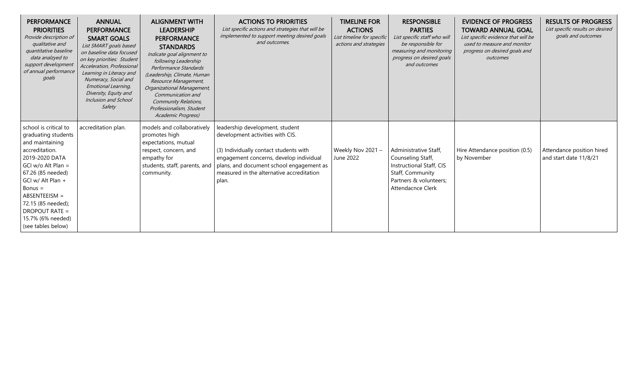| <b>PERFORMANCE</b><br><b>PRIORITIES</b><br>Provide description of<br>qualitative and<br>quantitative baseline<br>data analzyed to<br>support development<br>of annual performance<br>goals                                                                                                    | <b>ANNUAL</b><br><b>PERFORMANCE</b><br><b>SMART GOALS</b><br>List SMART goals based<br>on baseline data focused<br>on key priorities: Student<br>Acceleration, Professional<br>Learning in Literacy and<br>Numeracy, Social and<br>Emotional Learning,<br>Diversity, Equity and<br>Inclusion and School<br>Safety | <b>ALIGNMENT WITH</b><br><b>LEADERSHIP</b><br><b>PERFORMANCE</b><br><b>STANDARDS</b><br>Indicate goal alignment to<br>following Leadership<br>Performance Standards<br>(Leadership, Climate, Human<br>Resource Management,<br>Organizational Management,<br>Communication and<br><b>Community Relations,</b><br>Professionalism, Student<br>Academic Progress) | <b>ACTIONS TO PRIORITIES</b><br>List specific actions and strategies that will be<br>implemented to support meeting desired goals<br>and outcomes.                                                                                                         | <b>TIMELINE FOR</b><br><b>ACTIONS</b><br>List timeline for specific<br>actions and strategies | <b>RESPONSIBLE</b><br><b>PARTIES</b><br>List specific staff who will<br>be responsible for<br>measuring and monitoring<br>progress on desired goals<br>and outcomes | <b>EVIDENCE OF PROGRESS</b><br><b>TOWARD ANNUAL GOAL</b><br>List specific evidence that will be<br>used to measure and monitor<br>progress on desired goals and<br>outcomes | <b>RESULTS OF PROGRESS</b><br>List specific results on desired<br>goals and outcomes |
|-----------------------------------------------------------------------------------------------------------------------------------------------------------------------------------------------------------------------------------------------------------------------------------------------|-------------------------------------------------------------------------------------------------------------------------------------------------------------------------------------------------------------------------------------------------------------------------------------------------------------------|----------------------------------------------------------------------------------------------------------------------------------------------------------------------------------------------------------------------------------------------------------------------------------------------------------------------------------------------------------------|------------------------------------------------------------------------------------------------------------------------------------------------------------------------------------------------------------------------------------------------------------|-----------------------------------------------------------------------------------------------|---------------------------------------------------------------------------------------------------------------------------------------------------------------------|-----------------------------------------------------------------------------------------------------------------------------------------------------------------------------|--------------------------------------------------------------------------------------|
| school is critical to<br>graduating students<br>and maintaining<br>accreditation.<br>2019-2020 DATA<br>GCI w/o Alt Plan =<br>67.26 (85 needed)<br>GCI w/ Alt Plan +<br>$Bonus =$<br>$ABSENTEEISM =$<br>72.15 (85 needed);<br><b>DROPOUT RATE =</b><br>15.7% (6% needed)<br>(see tables below) | accreditation plan.                                                                                                                                                                                                                                                                                               | models and collaboratively<br>promotes high<br>expectations, mutual<br>respect, concern, and<br>empathy for<br>students, staff, parents, and<br>community.                                                                                                                                                                                                     | leadership development, student<br>development activities with CIS.<br>(3) Individually contact students with<br>engagement concerns, develop individual<br>plans, and document school engagement as<br>measured in the alternative accreditation<br>plan. | Weekly Nov 2021 -<br>June 2022                                                                | Administrative Staff,<br>Counseling Staff,<br>Instructional Staff, CIS<br>Staff, Community<br>Partners & volunteers;<br><b>Attendacnce Clerk</b>                    | Hire Attendance position (0.5)<br>by November                                                                                                                               | Attendance position hired<br>and start date 11/8/21                                  |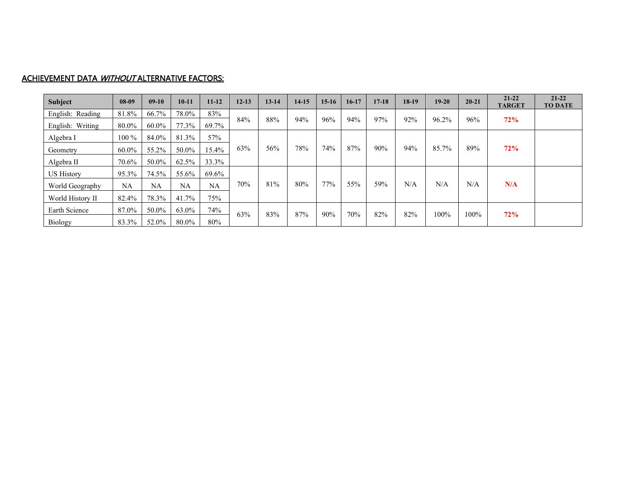#### ACHIEVEMENT DATA WITHOUT ALTERNATIVE FACTORS:

| Subject           | $08-09$ | $09-10$   | $10-11$   | $11 - 12$ | $12 - 13$ | $13 - 14$ | $14-15$ | $15-16$ | $16-17$ | $17 - 18$ | $18-19$ | $19-20$ | $20 - 21$ | $21 - 22$<br><b>TARGET</b> | $21 - 22$<br><b>TO DATE</b> |
|-------------------|---------|-----------|-----------|-----------|-----------|-----------|---------|---------|---------|-----------|---------|---------|-----------|----------------------------|-----------------------------|
| English: Reading  | 81.8%   | 66.7%     | 78.0%     | 83%       |           |           |         |         |         |           |         |         |           |                            |                             |
| English: Writing  | 80.0%   | 60.0%     | 77.3%     | 69.7%     | 84%       | 88%       | 94%     | 96%     | 94%     | 97%       | 92%     | 96.2%   | 96%       | 72%                        |                             |
| Algebra I         | $100\%$ | 84.0%     | 81.3%     | 57%       |           |           |         |         |         |           |         |         |           |                            |                             |
| Geometry          | 60.0%   | 55.2%     | 50.0%     | 15.4%     | 63%       | 56%       | 78%     | 74%     | 87%     | 90%       | 94%     | 85.7%   | 89%       | 72%                        |                             |
| Algebra II        | 70.6%   | 50.0%     | 62.5%     | 33.3%     |           |           |         |         |         |           |         |         |           |                            |                             |
| <b>US History</b> | 95.3%   | 74.5%     | 55.6%     | 69.6%     |           |           |         |         |         |           |         |         |           |                            |                             |
| World Geography   | NA      | <b>NA</b> | <b>NA</b> | <b>NA</b> | 70%       | 81%       | 80%     | 77%     | 55%     | 59%       | N/A     | N/A     | N/A       | N/A                        |                             |
| World History II  | 82.4%   | 78.3%     | 41.7%     | 75%       |           |           |         |         |         |           |         |         |           |                            |                             |
| Earth Science     | 87.0%   | 50.0%     | 63.0%     | 74%       | 63%       | 83%       | 87%     | 90%     | 70%     | 82%       | 82%     | 100%    | $100\%$   | 72%                        |                             |
| Biology           | 83.3%   | 52.0%     | 80.0%     | 80%       |           |           |         |         |         |           |         |         |           |                            |                             |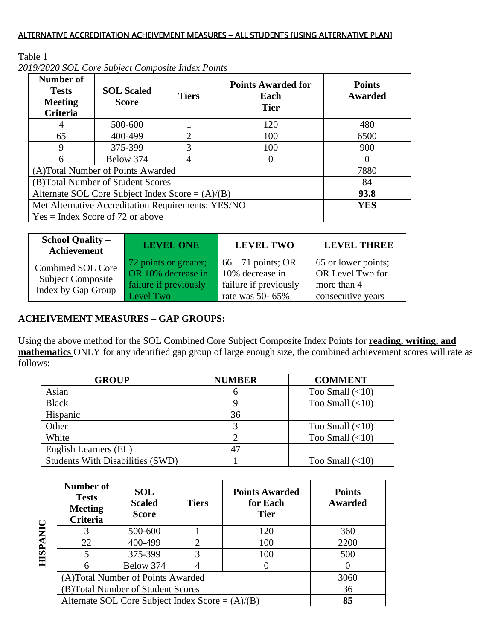### ALTERNATIVE ACCREDITATION ACHEIVEMENT MEASURES – ALL STUDENTS [USING ALTERNATIVE PLAN]

## Table 1

| Number of<br><b>Tests</b><br><b>Meeting</b><br><b>Criteria</b> | <b>SOL Scaled</b><br><b>Score</b>  | <b>Tiers</b>                | <b>Points Awarded for</b><br>Each<br><b>Tier</b> | <b>Points</b><br>Awarded |  |  |
|----------------------------------------------------------------|------------------------------------|-----------------------------|--------------------------------------------------|--------------------------|--|--|
|                                                                | 500-600                            |                             | 120                                              | 480                      |  |  |
| 65                                                             | 400-499                            | $\mathcal{D}_{\mathcal{L}}$ | 100                                              | 6500                     |  |  |
| 9                                                              | 375-399                            | 3                           | 100                                              | 900                      |  |  |
| 6                                                              | Below 374                          | 4                           |                                                  |                          |  |  |
|                                                                | (A)Total Number of Points Awarded  |                             |                                                  | 7880                     |  |  |
|                                                                | (B)Total Number of Student Scores  |                             |                                                  |                          |  |  |
| Alternate SOL Core Subject Index Score = $(A)/(B)$             | 93.8                               |                             |                                                  |                          |  |  |
| Met Alternative Accreditation Requirements: YES/NO             | <b>YES</b>                         |                             |                                                  |                          |  |  |
|                                                                | $Yes = Index Score of 72 or above$ |                             |                                                  |                          |  |  |

*2019/2020 SOL Core Subject Composite Index Points*

| <b>School Quality –</b><br>Achievement                                     | <b>LEVEL ONE</b>                                                                  | <b>LEVEL TWO</b>                                                                         | <b>LEVEL THREE</b>                                                          |
|----------------------------------------------------------------------------|-----------------------------------------------------------------------------------|------------------------------------------------------------------------------------------|-----------------------------------------------------------------------------|
| <b>Combined SOL Core</b><br><b>Subject Composite</b><br>Index by Gap Group | 72 points or greater;<br>OR 10% decrease in<br>failure if previously<br>Level Two | $66 - 71$ points; OR<br>10% decrease in<br>failure if previously<br>rate was $50 - 65\%$ | 65 or lower points;<br>OR Level Two for<br>more than 4<br>consecutive years |

## **ACHEIVEMENT MEASURES – GAP GROUPS:**

Using the above method for the SOL Combined Core Subject Composite Index Points for **reading, writing, and mathematics** ONLY for any identified gap group of large enough size, the combined achievement scores will rate as follows:

| <b>GROUP</b>                            | <b>NUMBER</b> | <b>COMMENT</b>        |
|-----------------------------------------|---------------|-----------------------|
| Asian                                   | n             | Too Small $(<10)$     |
| <b>Black</b>                            |               | Too Small $(<10)$     |
| Hispanic                                | 36            |                       |
| Other                                   |               | Too Small $(\leq 10)$ |
| White                                   |               | Too Small $(\leq 10)$ |
| English Learners (EL)                   |               |                       |
| <b>Students With Disabilities (SWD)</b> |               | Too Small $(\leq 10)$ |

|             | Number of<br><b>Tests</b><br><b>Meeting</b><br>Criteria | <b>SOL</b><br><b>Scaled</b><br><b>Score</b> | <b>Tiers</b>   | <b>Points Awarded</b><br>for Each<br><b>Tier</b> | <b>Points</b><br><b>Awarded</b> |
|-------------|---------------------------------------------------------|---------------------------------------------|----------------|--------------------------------------------------|---------------------------------|
|             |                                                         | 500-600                                     |                | 120                                              | 360                             |
|             | 22                                                      | 400-499                                     | $\overline{2}$ | 100                                              | 2200                            |
| <b>HISP</b> |                                                         | 375-399                                     | 3              | 100                                              | 500                             |
|             |                                                         | Below 374                                   |                |                                                  |                                 |
|             | (A)Total Number of Points Awarded                       | 3060                                        |                |                                                  |                                 |
|             | (B)Total Number of Student Scores                       | 36                                          |                |                                                  |                                 |
|             | Alternate SOL Core Subject Index Score = $(A)/(B)$      |                                             |                |                                                  | 85                              |